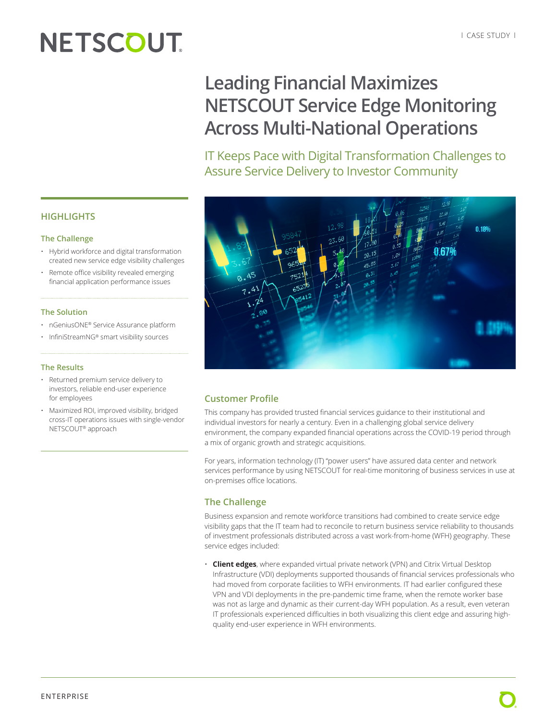# **NETSCOUT**

# **Leading Financial Maximizes NETSCOUT Service Edge Monitoring Across Multi-National Operations**

IT Keeps Pace with Digital Transformation Challenges to Assure Service Delivery to Investor Community



# **Customer Profile**

This company has provided trusted financial services guidance to their institutional and individual investors for nearly a century. Even in a challenging global service delivery environment, the company expanded financial operations across the COVID-19 period through a mix of organic growth and strategic acquisitions.

For years, information technology (IT) "power users" have assured data center and network services performance by using NETSCOUT for real-time monitoring of business services in use at on-premises office locations.

# **The Challenge**

Business expansion and remote workforce transitions had combined to create service edge visibility gaps that the IT team had to reconcile to return business service reliability to thousands of investment professionals distributed across a vast work-from-home (WFH) geography. These service edges included:

• **Client edges**, where expanded virtual private network (VPN) and Citrix Virtual Desktop Infrastructure (VDI) deployments supported thousands of financial services professionals who had moved from corporate facilities to WFH environments. IT had earlier configured these VPN and VDI deployments in the pre-pandemic time frame, when the remote worker base was not as large and dynamic as their current-day WFH population. As a result, even veteran IT professionals experienced difficulties in both visualizing this client edge and assuring highquality end-user experience in WFH environments.

## **HIGHLIGHTS**

#### **The Challenge**

- Hybrid workforce and digital transformation created new service edge visibility challenges
- Remote office visibility revealed emerging financial application performance issues

#### **The Solution**

- nGeniusONE® Service Assurance platform
- InfiniStreamNG® smart visibility sources

#### **The Results**

- Returned premium service delivery to investors, reliable end-user experience for employees
- Maximized ROI, improved visibility, bridged cross-IT operations issues with single-vendor NETSCOUT® approach